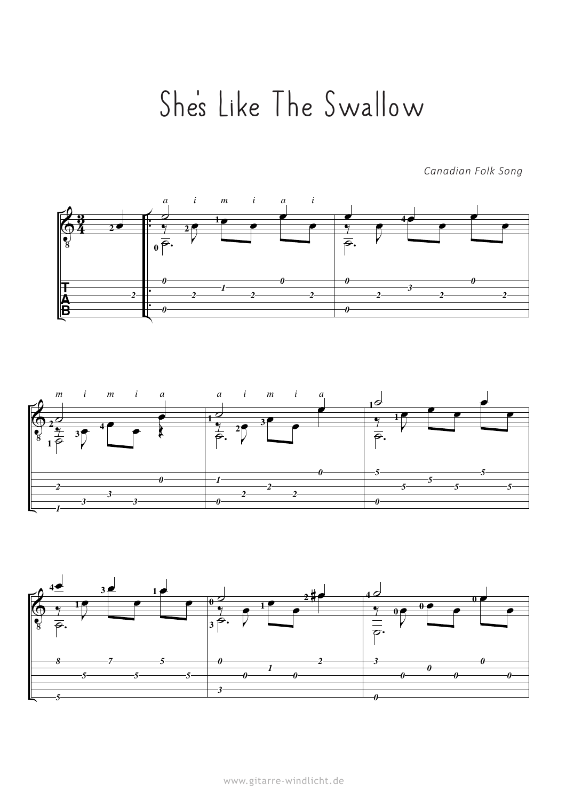## She ''s Like The Swallow

*Canadian Folk Song*